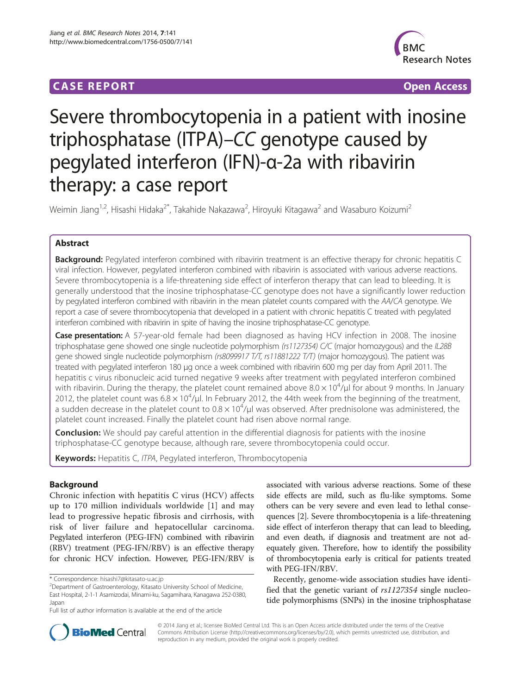## **CASE REPORT CASE REPORT CASE REPORT**



# Severe thrombocytopenia in a patient with inosine triphosphatase (ITPA)–CC genotype caused by pegylated interferon (IFN)-α-2a with ribavirin therapy: a case report

Weimin Jiang<sup>1,2</sup>, Hisashi Hidaka<sup>2\*</sup>, Takahide Nakazawa<sup>2</sup>, Hiroyuki Kitagawa<sup>2</sup> and Wasaburo Koizumi<sup>2</sup>

## Abstract

Background: Pegylated interferon combined with ribavirin treatment is an effective therapy for chronic hepatitis C viral infection. However, pegylated interferon combined with ribavirin is associated with various adverse reactions. Severe thrombocytopenia is a life-threatening side effect of interferon therapy that can lead to bleeding. It is generally understood that the inosine triphosphatase-CC genotype does not have a significantly lower reduction by pegylated interferon combined with ribavirin in the mean platelet counts compared with the AA/CA genotype. We report a case of severe thrombocytopenia that developed in a patient with chronic hepatitis C treated with pegylated interferon combined with ribavirin in spite of having the inosine triphosphatase-CC genotype.

Case presentation: A 57-year-old female had been diagnosed as having HCV infection in 2008. The inosine triphosphatase gene showed one single nucleotide polymorphism (rs1127354) C/C (major homozygous) and the IL28B gene showed single nucleotide polymorphism (rs8099917 T/T, rs11881222 T/T) (major homozygous). The patient was treated with pegylated interferon 180 μg once a week combined with ribavirin 600 mg per day from April 2011. The hepatitis c virus ribonucleic acid turned negative 9 weeks after treatment with pegylated interferon combined with ribavirin. During the therapy, the platelet count remained above  $8.0 \times 10^4 / \mu$  for about 9 months. In January 2012, the platelet count was  $6.8 \times 10^4/\mu$ l. In February 2012, the 44th week from the beginning of the treatment, a sudden decrease in the platelet count to  $0.8 \times 10^4$ /µl was observed. After prednisolone was administered, the platelet count increased. Finally the platelet count had risen above normal range.

**Conclusion:** We should pay careful attention in the differential diagnosis for patients with the inosine triphosphatase-CC genotype because, although rare, severe thrombocytopenia could occur.

Keywords: Hepatitis C, ITPA, Pegylated interferon, Thrombocytopenia

## Background

Chronic infection with hepatitis C virus (HCV) affects up to 170 million individuals worldwide [[1\]](#page-4-0) and may lead to progressive hepatic fibrosis and cirrhosis, with risk of liver failure and hepatocellular carcinoma. Pegylated interferon (PEG-IFN) combined with ribavirin (RBV) treatment (PEG-IFN/RBV) is an effective therapy for chronic HCV infection. However, PEG-IFN/RBV is

associated with various adverse reactions. Some of these side effects are mild, such as flu-like symptoms. Some others can be very severe and even lead to lethal consequences [\[2\]](#page-4-0). Severe thrombocytopenia is a life-threatening side effect of interferon therapy that can lead to bleeding, and even death, if diagnosis and treatment are not adequately given. Therefore, how to identify the possibility of thrombocytopenia early is critical for patients treated with PEG-IFN/RBV.

Recently, genome-wide association studies have identified that the genetic variant of rs1127354 single nucleotide polymorphisms (SNPs) in the inosine triphosphatase



© 2014 Jiang et al.; licensee BioMed Central Ltd. This is an Open Access article distributed under the terms of the Creative Commons Attribution License [\(http://creativecommons.org/licenses/by/2.0\)](http://creativecommons.org/licenses/by/2.0), which permits unrestricted use, distribution, and reproduction in any medium, provided the original work is properly credited.

<sup>\*</sup> Correspondence: [hisashi7@kitasato-u.ac.jp](mailto:hisashi7@kitasato-u.ac.jp) <sup>2</sup>

Department of Gastroenterology, Kitasato University School of Medicine, East Hospital, 2-1-1 Asamizodai, Minami-ku, Sagamihara, Kanagawa 252-0380, Japan

Full list of author information is available at the end of the article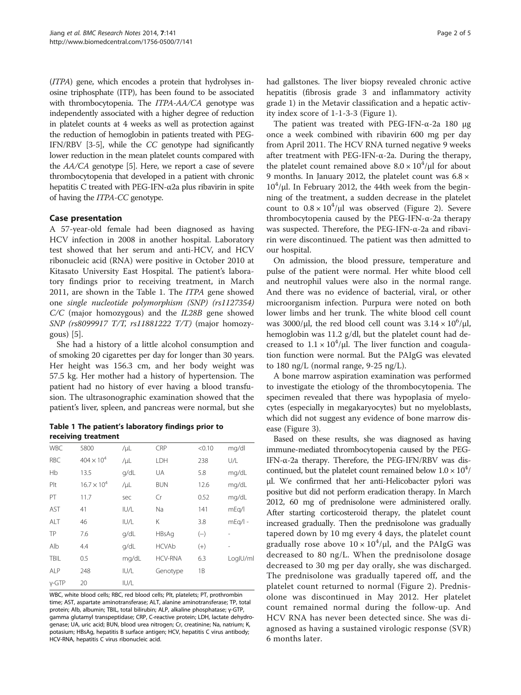(ITPA) gene, which encodes a protein that hydrolyses inosine triphosphate (ITP), has been found to be associated with thrombocytopenia. The ITPA-AA/CA genotype was independently associated with a higher degree of reduction in platelet counts at 4 weeks as well as protection against the reduction of hemoglobin in patients treated with PEG-IFN/RBV [\[3-5](#page-4-0)], while the CC genotype had significantly lower reduction in the mean platelet counts compared with the AA/CA genotype [\[5](#page-4-0)]. Here, we report a case of severe thrombocytopenia that developed in a patient with chronic hepatitis C treated with PEG-IFN-α2a plus ribavirin in spite of having the ITPA-CC genotype.

## Case presentation

A 57-year-old female had been diagnosed as having HCV infection in 2008 in another hospital. Laboratory test showed that her serum and anti-HCV, and HCV ribonucleic acid (RNA) were positive in October 2010 at Kitasato University East Hospital. The patient's laboratory findings prior to receiving treatment, in March 2011, are shown in the Table 1. The ITPA gene showed one single nucleotide polymorphism (SNP) (rs1127354) C/C (major homozygous) and the IL28B gene showed SNP (rs8099917 T/T, rs11881222 T/T) (major homozygous) [[5\]](#page-4-0).

She had a history of a little alcohol consumption and of smoking 20 cigarettes per day for longer than 30 years. Her height was 156.3 cm, and her body weight was 57.5 kg. Her mother had a history of hypertension. The patient had no history of ever having a blood transfusion. The ultrasonographic examination showed that the patient's liver, spleen, and pancreas were normal, but she

|                     |  | Table 1 The patient's laboratory findings prior to |  |  |
|---------------------|--|----------------------------------------------------|--|--|
| receiving treatment |  |                                                    |  |  |

| <b>WBC</b>  | 5800                 | $/ \mu L$ | CRP            | < 0.10 | mg/dl     |
|-------------|----------------------|-----------|----------------|--------|-----------|
| <b>RBC</b>  | $404 \times 10^{4}$  | $/ \mu L$ | LDH            | 238    | U/L       |
| Hb          | 13.5                 | g/dL      | UA             | 5.8    | mg/dL     |
| Plt         | $16.7 \times 10^{4}$ | $/ \mu L$ | <b>BUN</b>     | 12.6   | mg/dL     |
| PT          | 11.7                 | sec       | Cr             | 0.52   | mg/dL     |
| AST         | 41                   | IUI/L     | Na             | 141    | mEq/l     |
| ALT         | 46                   | IUI/L     | Κ              | 3.8    | $mEq/I -$ |
| TP          | 7.6                  | g/dL      | <b>HBsAg</b>   | $(-)$  | -         |
| Alb         | 4.4                  | g/dL      | <b>HCVAb</b>   | $(+)$  | -         |
| <b>TBIL</b> | 0.5                  | mg/dL     | <b>HCV-RNA</b> | 6.3    | LogIU/ml  |
| <b>ALP</b>  | 248                  | IUI/L     | Genotype       | 1B     |           |
| $v$ -GTP    | 20                   | IUIL      |                |        |           |

WBC, white blood cells; RBC, red blood cells; Plt, platelets; PT, prothrombin time; AST, aspartate aminotransferase; ALT, alanine aminotransferase; TP, total protein; Alb, albumin; TBIL, total bilirubin; ALP, alkaline phosphatase; γ-GTP, gamma glutamyl transpeptidase; CRP, C-reactive protein; LDH, lactate dehydrogenase; UA, uric acid; BUN, blood urea nitrogen; Cr, creatinine; Na, natrium; K, potasium; HBsAg, hepatitis B surface antigen; HCV, hepatitis C virus antibody; HCV-RNA, hepatitis C virus ribonucleic acid.

had gallstones. The liver biopsy revealed chronic active hepatitis (fibrosis grade 3 and inflammatory activity grade 1) in the Metavir classification and a hepatic activity index score of 1-1-3-3 (Figure [1\)](#page-2-0).

The patient was treated with PEG-IFN- $\alpha$ -2a 180 μg once a week combined with ribavirin 600 mg per day from April 2011. The HCV RNA turned negative 9 weeks after treatment with PEG-IFN-α-2a. During the therapy, the platelet count remained above  $8.0 \times 10^4 / \mu l$  for about 9 months. In January 2012, the platelet count was 6.8 ×  $10^4$ / $\mu$ l. In February 2012, the 44th week from the beginning of the treatment, a sudden decrease in the platelet count to  $0.8 \times 10^4/\mu l$  was observed (Figure [2](#page-2-0)). Severe thrombocytopenia caused by the PEG-IFN-α-2a therapy was suspected. Therefore, the PEG-IFN-α-2a and ribavirin were discontinued. The patient was then admitted to our hospital.

On admission, the blood pressure, temperature and pulse of the patient were normal. Her white blood cell and neutrophil values were also in the normal range. And there was no evidence of bacterial, viral, or other microorganism infection. Purpura were noted on both lower limbs and her trunk. The white blood cell count was 3000/ $\mu$ l, the red blood cell count was  $3.14 \times 10^6/\mu$ l, hemoglobin was 11.2 g/dl, but the platelet count had decreased to  $1.1 \times 10^4$ /µl. The liver function and coagulation function were normal. But the PAIgG was elevated to 180 ng/L (normal range, 9-25 ng/L).

A bone marrow aspiration examination was performed to investigate the etiology of the thrombocytopenia. The specimen revealed that there was hypoplasia of myelocytes (especially in megakaryocytes) but no myeloblasts, which did not suggest any evidence of bone marrow disease (Figure [3\)](#page-2-0).

Based on these results, she was diagnosed as having immune-mediated thrombocytopenia caused by the PEG-IFN-α-2a therapy. Therefore, the PEG-IFN/RBV was discontinued, but the platelet count remained below  $1.0 \times 10^4/$ μl. We confirmed that her anti-Helicobacter pylori was positive but did not perform eradication therapy. In March 2012, 60 mg of prednisolone were administered orally. After starting corticosteroid therapy, the platelet count increased gradually. Then the prednisolone was gradually tapered down by 10 mg every 4 days, the platelet count gradually rose above  $10 \times 10^4$ / $\mu$ l, and the PAIgG was decreased to 80 ng/L. When the prednisolone dosage decreased to 30 mg per day orally, she was discharged. The prednisolone was gradually tapered off, and the platelet count returned to normal (Figure [2\)](#page-2-0). Prednisolone was discontinued in May 2012. Her platelet count remained normal during the follow-up. And HCV RNA has never been detected since. She was diagnosed as having a sustained virologic response (SVR) 6 months later.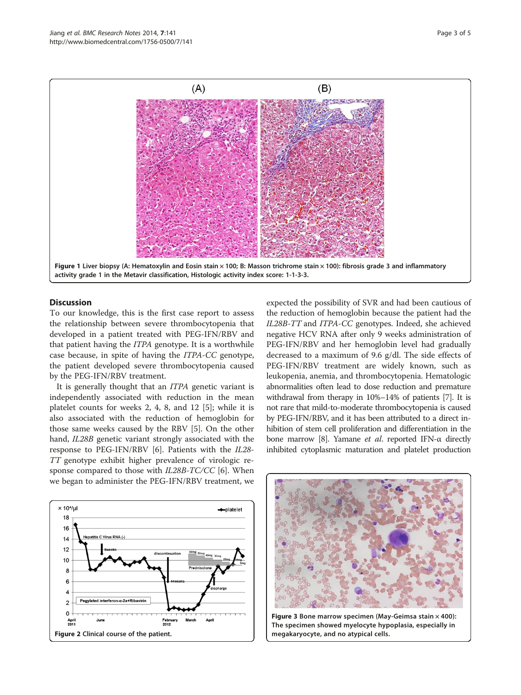<span id="page-2-0"></span>

## **Discussion**

To our knowledge, this is the first case report to assess the relationship between severe thrombocytopenia that developed in a patient treated with PEG-IFN/RBV and that patient having the ITPA genotype. It is a worthwhile case because, in spite of having the ITPA-CC genotype, the patient developed severe thrombocytopenia caused by the PEG-IFN/RBV treatment.

It is generally thought that an ITPA genetic variant is independently associated with reduction in the mean platelet counts for weeks 2, 4, 8, and 12 [[5\]](#page-4-0); while it is also associated with the reduction of hemoglobin for those same weeks caused by the RBV [\[5](#page-4-0)]. On the other hand, IL28B genetic variant strongly associated with the response to PEG-IFN/RBV [\[6](#page-4-0)]. Patients with the IL28- TT genotype exhibit higher prevalence of virologic response compared to those with *IL28B-TC/CC* [\[6\]](#page-4-0). When we began to administer the PEG-IFN/RBV treatment, we

expected the possibility of SVR and had been cautious of the reduction of hemoglobin because the patient had the IL28B-TT and ITPA-CC genotypes. Indeed, she achieved negative HCV RNA after only 9 weeks administration of PEG-IFN/RBV and her hemoglobin level had gradually decreased to a maximum of 9.6 g/dl. The side effects of PEG-IFN/RBV treatment are widely known, such as leukopenia, anemia, and thrombocytopenia. Hematologic abnormalities often lead to dose reduction and premature withdrawal from therapy in 10%–14% of patients [\[7\]](#page-4-0). It is not rare that mild-to-moderate thrombocytopenia is caused by PEG-IFN/RBV, and it has been attributed to a direct inhibition of stem cell proliferation and differentiation in the bone marrow [\[8\]](#page-4-0). Yamane et al. reported IFN- $\alpha$  directly inhibited cytoplasmic maturation and platelet production





Figure 3 Bone marrow specimen (May-Geimsa stain  $\times$  400): The specimen showed myelocyte hypoplasia, especially in megakaryocyte, and no atypical cells.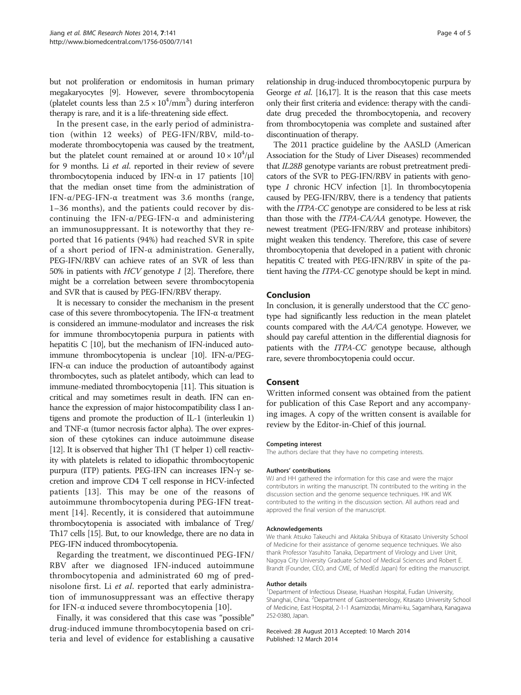but not proliferation or endomitosis in human primary megakaryocytes [\[9\]](#page-4-0). However, severe thrombocytopenia (platelet counts less than  $2.5 \times 10^4/\text{mm}^3$ ) during interferon therapy is rare, and it is a life-threatening side effect.

In the present case, in the early period of administration (within 12 weeks) of PEG-IFN/RBV, mild-tomoderate thrombocytopenia was caused by the treatment, but the platelet count remained at or around  $10 \times 10^4/\mu$ for 9 months. Li et al. reported in their review of severe thrombocytopenia induced by IFN-α in 17 patients [\[10](#page-4-0)] that the median onset time from the administration of IFN-α/PEG-IFN-α treatment was 3.6 months (range, 1–36 months), and the patients could recover by discontinuing the IFN- $\alpha$ /PEG-IFN- $\alpha$  and administering an immunosuppressant. It is noteworthy that they reported that 16 patients (94%) had reached SVR in spite of a short period of IFN-α administration. Generally, PEG-IFN/RBV can achieve rates of an SVR of less than 50% in patients with  $HCV$  genotype 1 [[2](#page-4-0)]. Therefore, there might be a correlation between severe thrombocytopenia and SVR that is caused by PEG-IFN/RBV therapy.

It is necessary to consider the mechanism in the present case of this severe thrombocytopenia. The IFN-α treatment is considered an immune-modulator and increases the risk for immune thrombocytopenia purpura in patients with hepatitis C [\[10\]](#page-4-0), but the mechanism of IFN-induced autoimmune thrombocytopenia is unclear [\[10](#page-4-0)]. IFN-α/PEG-IFN- $\alpha$  can induce the production of autoantibody against thrombocytes, such as platelet antibody, which can lead to immune-mediated thrombocytopenia [[11](#page-4-0)]. This situation is critical and may sometimes result in death. IFN can enhance the expression of major histocompatibility class I antigens and promote the production of IL-1 (interleukin 1) and TNF-α (tumor necrosis factor alpha). The over expression of these cytokines can induce autoimmune disease [[12](#page-4-0)]. It is observed that higher Th1 (T helper 1) cell reactivity with platelets is related to idiopathic thrombocytopenic purpura (ITP) patients. PEG-IFN can increases IFN-γ secretion and improve CD4 T cell response in HCV-infected patients [[13](#page-4-0)]. This may be one of the reasons of autoimmune thrombocytopenia during PEG-IFN treatment [\[14\]](#page-4-0). Recently, it is considered that autoimmune thrombocytopenia is associated with imbalance of Treg/ Th17 cells [\[15](#page-4-0)]. But, to our knowledge, there are no data in PEG-IFN induced thrombocytopenia.

Regarding the treatment, we discontinued PEG-IFN/ RBV after we diagnosed IFN-induced autoimmune thrombocytopenia and administrated 60 mg of prednisolone first. Li et al. reported that early administration of immunosuppressant was an effective therapy for IFN-α induced severe thrombocytopenia [\[10\]](#page-4-0).

Finally, it was considered that this case was "possible" drug-induced immune thrombocytopenia based on criteria and level of evidence for establishing a causative relationship in drug-induced thrombocytopenic purpura by George et al. [\[16,17\]](#page-4-0). It is the reason that this case meets only their first criteria and evidence: therapy with the candidate drug preceded the thrombocytopenia, and recovery from thrombocytopenia was complete and sustained after discontinuation of therapy.

The 2011 practice guideline by the AASLD (American Association for the Study of Liver Diseases) recommended that IL28B genotype variants are robust pretreatment predicators of the SVR to PEG-IFN/RBV in patients with genotype 1 chronic HCV infection [[1](#page-4-0)]. In thrombocytopenia caused by PEG-IFN/RBV, there is a tendency that patients with the *ITPA-CC* genotype are considered to be less at risk than those with the ITPA-CA/AA genotype. However, the newest treatment (PEG-IFN/RBV and protease inhibitors) might weaken this tendency. Therefore, this case of severe thrombocytopenia that developed in a patient with chronic hepatitis C treated with PEG-IFN/RBV in spite of the patient having the ITPA-CC genotype should be kept in mind.

## Conclusion

In conclusion, it is generally understood that the CC genotype had significantly less reduction in the mean platelet counts compared with the AA/CA genotype. However, we should pay careful attention in the differential diagnosis for patients with the ITPA-CC genotype because, although rare, severe thrombocytopenia could occur.

#### Consent

Written informed consent was obtained from the patient for publication of this Case Report and any accompanying images. A copy of the written consent is available for review by the Editor-in-Chief of this journal.

#### Competing interest

The authors declare that they have no competing interests.

#### Authors' contributions

WJ and HH gathered the information for this case and were the major contributors in writing the manuscript. TN contributed to the writing in the discussion section and the genome sequence techniques. HK and WK contributed to the writing in the discussion section. All authors read and approved the final version of the manuscript.

#### Acknowledgements

We thank Atsuko Takeuchi and Akitaka Shibuya of Kitasato University School of Medicine for their assistance of genome sequence techniques. We also thank Professor Yasuhito Tanaka, Department of Virology and Liver Unit, Nagoya City University Graduate School of Medical Sciences and Robert E. Brandt (Founder, CEO, and CME, of MedEd Japan) for editing the manuscript.

#### Author details

<sup>1</sup>Department of Infectious Disease, Huashan Hospital, Fudan University Shanghai, China. <sup>2</sup> Department of Gastroenterology, Kitasato University School of Medicine, East Hospital, 2-1-1 Asamizodai, Minami-ku, Sagamihara, Kanagawa 252-0380, Japan.

#### Received: 28 August 2013 Accepted: 10 March 2014 Published: 12 March 2014